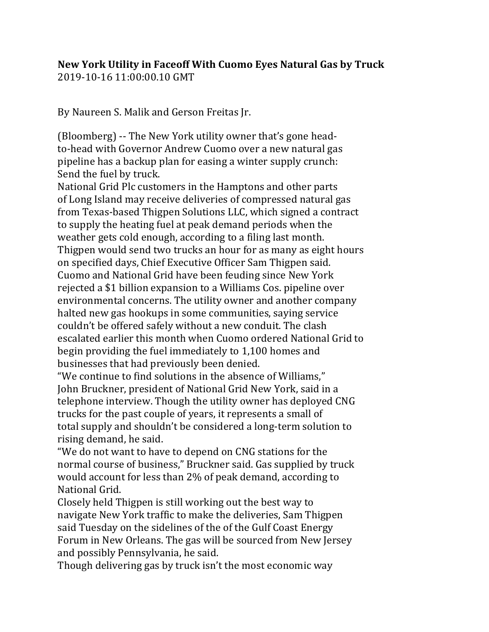## **New York Utility in Faceoff With Cuomo Eyes Natural Gas by Truck** 2019-10-16 11:00:00.10 GMT

By Naureen S. Malik and Gerson Freitas Jr.

(Bloomberg) -- The New York utility owner that's gone headto-head with Governor Andrew Cuomo over a new natural gas pipeline has a backup plan for easing a winter supply crunch: Send the fuel by truck.

National Grid Plc customers in the Hamptons and other parts of Long Island may receive deliveries of compressed natural gas from Texas-based Thigpen Solutions LLC, which signed a contract to supply the heating fuel at peak demand periods when the weather gets cold enough, according to a filing last month. Thigpen would send two trucks an hour for as many as eight hours on specified days, Chief Executive Officer Sam Thigpen said. Cuomo and National Grid have been feuding since New York rejected a \$1 billion expansion to a Williams Cos. pipeline over environmental concerns. The utility owner and another company halted new gas hookups in some communities, saying service couldn't be offered safely without a new conduit. The clash escalated earlier this month when Cuomo ordered National Grid to begin providing the fuel immediately to 1,100 homes and businesses that had previously been denied.

"We continue to find solutions in the absence of Williams," John Bruckner, president of National Grid New York, said in a telephone interview. Though the utility owner has deployed CNG trucks for the past couple of years, it represents a small of total supply and shouldn't be considered a long-term solution to rising demand, he said.

"We do not want to have to depend on CNG stations for the normal course of business," Bruckner said. Gas supplied by truck would account for less than 2% of peak demand, according to National Grid.

Closely held Thigpen is still working out the best way to navigate New York traffic to make the deliveries, Sam Thigpen said Tuesday on the sidelines of the of the Gulf Coast Energy Forum in New Orleans. The gas will be sourced from New Jersey and possibly Pennsylvania, he said.

Though delivering gas by truck isn't the most economic way